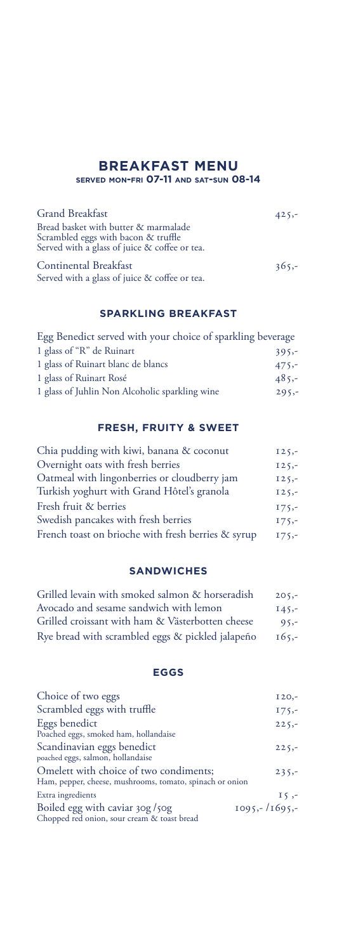#### **BREAKFAST MENU served mon-fri 07-11 and sat-sun 08-14**

Grand Breakfast 425,-Bread basket with butter & marmalade Scrambled eggs with bacon & truffle Served with a glass of juice & coffee or tea. Continental Breakfast 365,-

Served with a glass of juice & coffee or tea.

#### **SPARKLING BREAKFAST**

| Egg Benedict served with your choice of sparkling beverage |         |
|------------------------------------------------------------|---------|
| 1 glass of "R" de Ruinart                                  | $395 -$ |
| 1 glass of Ruinart blanc de blancs                         | $475 -$ |
| 1 glass of Ruinart Rosé                                    | $485 -$ |
| 1 glass of Juhlin Non Alcoholic sparkling wine             | $295 -$ |
|                                                            |         |

## **FRESH, FRUITY & SWEET**

| Chia pudding with kiwi, banana & coconut           | $125 -$ |
|----------------------------------------------------|---------|
| Overnight oats with fresh berries                  | $125 -$ |
| Oatmeal with lingonberries or cloudberry jam       | $125 -$ |
| Turkish yoghurt with Grand Hôtel's granola         | $125 -$ |
| Fresh fruit & berries                              | $175 -$ |
| Swedish pancakes with fresh berries                | $175 -$ |
| French toast on brioche with fresh berries & syrup | $175 -$ |

#### **SANDWICHES**

| Grilled levain with smoked salmon & horseradish  | $205 -$ |
|--------------------------------------------------|---------|
| Avocado and sesame sandwich with lemon           | $145 -$ |
| Grilled croissant with ham & Västerbotten cheese | $95 -$  |
| Rye bread with scrambled eggs & pickled jalapeño | $165 -$ |

#### **EGGS**

| Choice of two eggs                                                                                 | $120,-$         |
|----------------------------------------------------------------------------------------------------|-----------------|
| Scrambled eggs with truffle                                                                        | $175 -$         |
| Eggs benedict<br>Poached eggs, smoked ham, hollandaise                                             | $225 -$         |
| Scandinavian eggs benedict<br>poached eggs, salmon, hollandaise                                    | $225 -$         |
| Omelett with choice of two condiments;<br>Ham, pepper, cheese, mushrooms, tomato, spinach or onion | $235 -$         |
| Extra ingredients                                                                                  | $15, -$         |
| Boiled egg with caviar 30g/50g<br>Chopped red onion, sour cream & toast bread                      | $1095 - 1695 -$ |